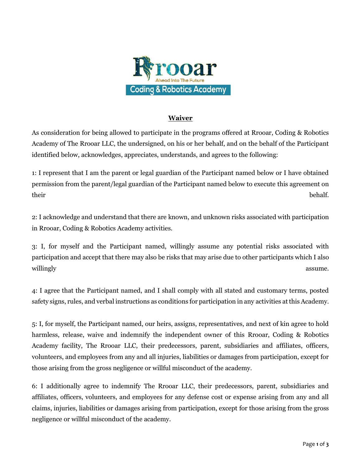

## **Waiver**

As consideration for being allowed to participate in the programs offered at Rrooar, Coding & Robotics Academy of The Rrooar LLC, the undersigned, on his or her behalf, and on the behalf of the Participant identified below, acknowledges, appreciates, understands, and agrees to the following:

1: I represent that I am the parent or legal guardian of the Participant named below or I have obtained permission from the parent/legal guardian of the Participant named below to execute this agreement on their behalf.

2: I acknowledge and understand that there are known, and unknown risks associated with participation in Rrooar, Coding & Robotics Academy activities.

3: I, for myself and the Participant named, willingly assume any potential risks associated with participation and accept that there may also be risks that may arise due to other participants which I also willingly assume.

4: I agree that the Participant named, and I shall comply with all stated and customary terms, posted safety signs, rules, and verbal instructions as conditions for participation in any activities at this Academy.

5: I, for myself, the Participant named, our heirs, assigns, representatives, and next of kin agree to hold harmless, release, waive and indemnify the independent owner of this Rrooar, Coding & Robotics Academy facility, The Rrooar LLC, their predecessors, parent, subsidiaries and affiliates, officers, volunteers, and employees from any and all injuries, liabilities or damages from participation, except for those arising from the gross negligence or willful misconduct of the academy.

6: I additionally agree to indemnify The Rrooar LLC, their predecessors, parent, subsidiaries and affiliates, officers, volunteers, and employees for any defense cost or expense arising from any and all claims, injuries, liabilities or damages arising from participation, except for those arising from the gross negligence or willful misconduct of the academy.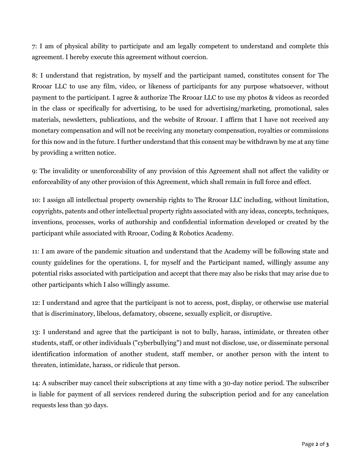7: I am of physical ability to participate and am legally competent to understand and complete this agreement. I hereby execute this agreement without coercion.

8: I understand that registration, by myself and the participant named, constitutes consent for The Rrooar LLC to use any film, video, or likeness of participants for any purpose whatsoever, without payment to the participant. I agree & authorize The Rrooar LLC to use my photos & videos as recorded in the class or specifically for advertising, to be used for advertising/marketing, promotional, sales materials, newsletters, publications, and the website of Rrooar. I affirm that I have not received any monetary compensation and will not be receiving any monetary compensation, royalties or commissions for this now and in the future. I further understand that this consent may be withdrawn by me at any time by providing a written notice.

9: The invalidity or unenforceability of any provision of this Agreement shall not affect the validity or enforceability of any other provision of this Agreement, which shall remain in full force and effect.

10: I assign all intellectual property ownership rights to The Rrooar LLC including, without limitation, copyrights, patents and other intellectual property rights associated with any ideas, concepts, techniques, inventions, processes, works of authorship and confidential information developed or created by the participant while associated with Rrooar, Coding & Robotics Academy.

11: I am aware of the pandemic situation and understand that the Academy will be following state and county guidelines for the operations. I, for myself and the Participant named, willingly assume any potential risks associated with participation and accept that there may also be risks that may arise due to other participants which I also willingly assume.

12: I understand and agree that the participant is not to access, post, display, or otherwise use material that is discriminatory, libelous, defamatory, obscene, sexually explicit, or disruptive.

13: I understand and agree that the participant is not to bully, harass, intimidate, or threaten other students, staff, or other individuals ("cyberbullying") and must not disclose, use, or disseminate personal identification information of another student, staff member, or another person with the intent to threaten, intimidate, harass, or ridicule that person.

14: A subscriber may cancel their subscriptions at any time with a 30-day notice period. The subscriber is liable for payment of all services rendered during the subscription period and for any cancelation requests less than 30 days.